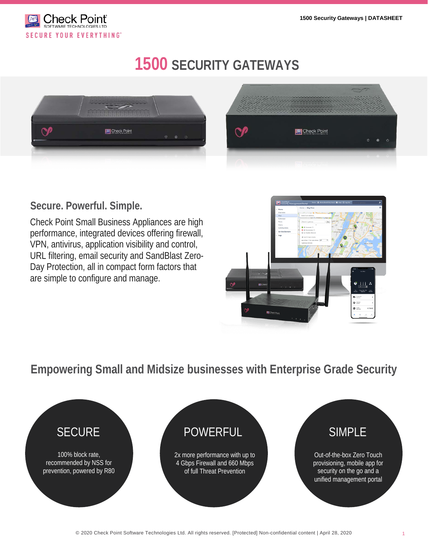

VDOHV#FRUSRUDWHDUPRU

# **1500 SECURITY GATEWAYS**





**Secure. Powerful. Simple.**

Check Point Small Business Appliances are high performance, integrated devices offering firewall, VPN, antivirus, application visibility and control, URL filtering, email security and SandBlast Zero-Day Protection, all in compact form factors that are simple to configure and manage.



**Empowering Small and Midsize businesses with Enterprise Grade Security**

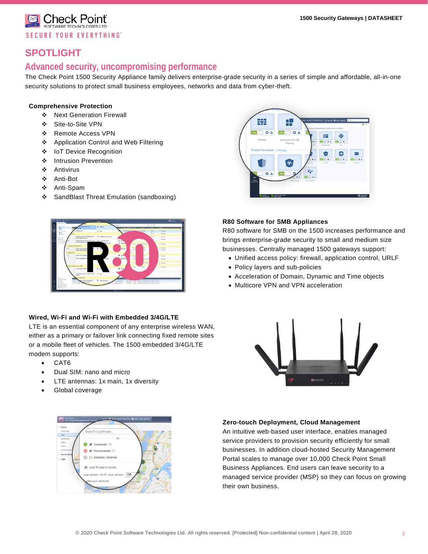Check Point<sup>®</sup> **SECURE YOUR EVERYTHING**"

## **SPOTLIGHT**

### **Advanced security, uncompromising performance**

The Check Point 1500 Security Appliance family delivers enterprise-grade security in a series of simple and affordable, all-in-one security solutions to protect small business employees, networks and data from cyber-theft.

#### **Comprehensive Protection**

- Next Generation Firewall
- Site-to-Site VPN
- Remote Access VPN
- Application Control and Web Filtering
- ❖ IoT Device Recognition
- ❖ Intrusion Prevention
- Antivirus
- Anti-Bot
- Anti-Spam
- ❖ SandBlast Threat Emulation (sandboxing)



#### **Wired, Wi-Fi and Wi-Fi with Embedded 3/4G/LTE**

LTE is an essential component of any enterprise wireless WAN, either as a primary or failover link connecting fixed remote sites or a mobile fleet of vehicles. The 1500 embedded 3/4G/LTE modem supports:

- CAT6
- Dual SIM: nano and micro
- LTE antennas: 1x main, 1x diversity
- Global coverage





#### **R80 Software for SMB Appliances**

R80 software for SMB on the 1500 increases performance and brings enterprise-grade security to small and medium size businesses. Centrally managed 1500 gateways support:

- Unified access policy: firewall, application control, URLF
- Policy layers and sub-policies
- Acceleration of Domain, Dynamic and Time objects
- Multicore VPN and VPN acceleration



#### **Zero-touch Deployment, Cloud Management**

An intuitive web-based user interface, enables managed service providers to provision security efficiently for small businesses. In addition cloud-hosted Security Management Portal scales to manage over 10,000 Check Point Small Business Appliances. End users can leave security to a managed service provider (MSP) so they can focus on growing their own business.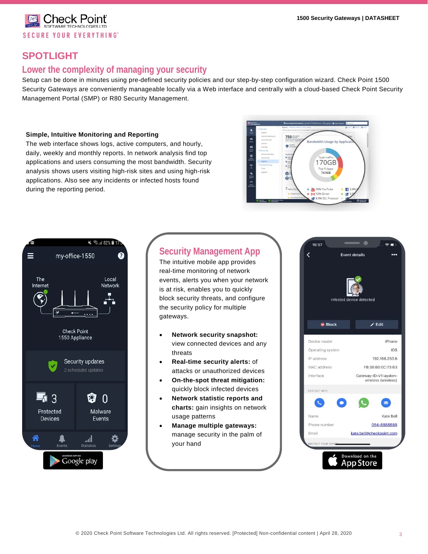Check Poinť **SECURE YOUR EVERYTHING** 

## **SPOTLIGHT**

## **Lower the complexity of managing your security**

Setup can be done in minutes using pre-defined security policies and our step-by-step configuration wizard. Check Point 1500 Security Gateways are conveniently manageable locally via a Web interface and centrally with a cloud-based Check Point Security Management Portal (SMP) or R80 Security Management.

#### **Simple, Intuitive Monitoring and Reporting**

The web interface shows logs, active computers, and hourly, daily, weekly and monthly reports. In network analysis find top applications and users consuming the most bandwidth. Security analysis shows users visiting high-risk sites and using high-risk applications. Also see any incidents or infected hosts found during the reporting period.





## **Security Management App**

The intuitive mobile app provides real-time monitoring of network events, alerts you when your network is at risk, enables you to quickly block security threats, and configure the security policy for multiple gateways.

- **Network security snapshot:**  view connected devices and any threats
- **Real-time security alerts:** of attacks or unauthorized devices
- **On-the-spot threat mitigation:**  quickly block infected devices
- **Network statistic reports and charts:** gain insights on network usage patterns
- **Manage multiple gateways:**  manage security in the palm of your hand

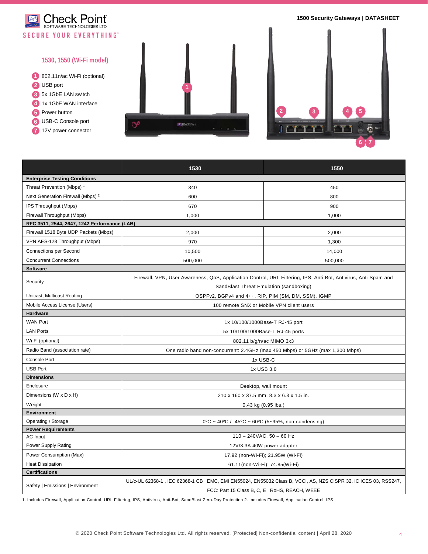

|                                              | 1530                                                                                                                                                               | 1550    |  |
|----------------------------------------------|--------------------------------------------------------------------------------------------------------------------------------------------------------------------|---------|--|
| <b>Enterprise Testing Conditions</b>         |                                                                                                                                                                    |         |  |
| Threat Prevention (Mbps) <sup>1</sup>        | 340                                                                                                                                                                | 450     |  |
| Next Generation Firewall (Mbps) <sup>2</sup> | 600                                                                                                                                                                | 800     |  |
| IPS Throughput (Mbps)                        | 670                                                                                                                                                                | 900     |  |
| Firewall Throughput (Mbps)                   | 1,000                                                                                                                                                              | 1,000   |  |
| RFC 3511, 2544, 2647, 1242 Performance (LAB) |                                                                                                                                                                    |         |  |
| Firewall 1518 Byte UDP Packets (Mbps)        | 2,000                                                                                                                                                              | 2,000   |  |
| VPN AES-128 Throughput (Mbps)                | 970                                                                                                                                                                | 1,300   |  |
| <b>Connections per Second</b>                | 10,500                                                                                                                                                             | 14,000  |  |
| <b>Concurrent Connections</b>                | 500,000                                                                                                                                                            | 500,000 |  |
| <b>Software</b>                              |                                                                                                                                                                    |         |  |
| Security                                     | Firewall, VPN, User Awareness, QoS, Application Control, URL Filtering, IPS, Anti-Bot, Antivirus, Anti-Spam and                                                    |         |  |
|                                              | SandBlast Threat Emulation (sandboxing)                                                                                                                            |         |  |
| Unicast, Multicast Routing                   | OSPFv2, BGPv4 and 4++, RIP, PIM (SM, DM, SSM), IGMP                                                                                                                |         |  |
| Mobile Access License (Users)                | 100 remote SNX or Mobile VPN client users                                                                                                                          |         |  |
| Hardware                                     |                                                                                                                                                                    |         |  |
| <b>WAN Port</b>                              | 1x 10/100/1000Base-T RJ-45 port                                                                                                                                    |         |  |
| <b>LAN Ports</b>                             | 5x 10/100/1000Base-T RJ-45 ports                                                                                                                                   |         |  |
| Wi-Fi (optional)                             | 802.11 b/g/n/ac MIMO 3x3                                                                                                                                           |         |  |
| Radio Band (association rate)                | One radio band non-concurrent: 2.4GHz (max 450 Mbps) or 5GHz (max 1,300 Mbps)                                                                                      |         |  |
| <b>Console Port</b>                          | 1x USB-C                                                                                                                                                           |         |  |
| <b>USB Port</b>                              | 1x USB 3.0                                                                                                                                                         |         |  |
| <b>Dimensions</b>                            |                                                                                                                                                                    |         |  |
| Enclosure                                    | Desktop, wall mount                                                                                                                                                |         |  |
| Dimensions (W x D x H)                       | 210 x 160 x 37.5 mm, 8.3 x 6.3 x 1.5 in.                                                                                                                           |         |  |
| Weight                                       | $0.43$ kg $(0.95$ lbs.)                                                                                                                                            |         |  |
| Environment                                  |                                                                                                                                                                    |         |  |
| Operating / Storage                          | $0^{\circ}$ C ~ 40°C / -45°C ~ 60°C (5~95%, non-condensing)                                                                                                        |         |  |
| <b>Power Requirements</b>                    |                                                                                                                                                                    |         |  |
| <b>AC</b> Input                              | $110 - 240$ VAC, $50 - 60$ Hz                                                                                                                                      |         |  |
| Power Supply Rating                          | 12V/3.3A 40W power adapter                                                                                                                                         |         |  |
| Power Consumption (Max)                      | 17.92 (non-Wi-Fi); 21.95W (Wi-Fi)                                                                                                                                  |         |  |
| <b>Heat Dissipation</b>                      | 61.11(non-Wi-Fi); 74.85(Wi-Fi)                                                                                                                                     |         |  |
| <b>Certifications</b>                        |                                                                                                                                                                    |         |  |
| Safety   Emissions   Environment             | UL/c-UL 62368-1, IEC 62368-1 CB   EMC, EMI EN55024, EN55032 Class B, VCCI, AS, NZS CISPR 32, IC ICES 03, RSS247,<br>FCC: Part 15 Class B, C, E   RoHS, REACH, WEEE |         |  |

1. Includes Firewall, Application Control, URL Filtering, IPS, Antivirus, Anti-Bot, SandBlast Zero-Day Protection 2. Includes Firewall, Application Control, IPS

**6**

**7**

**5**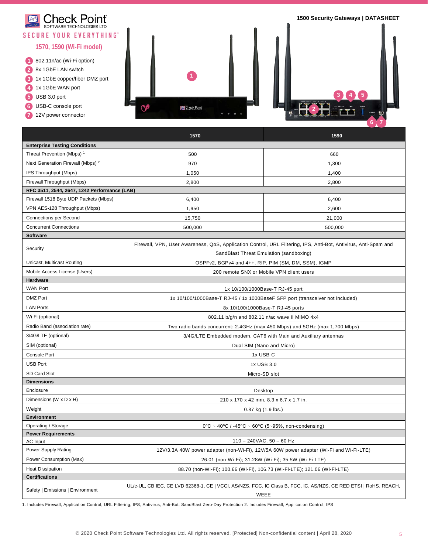

|                                              | 1570                                                                                                                                                       | 1590    |  |  |  |  |
|----------------------------------------------|------------------------------------------------------------------------------------------------------------------------------------------------------------|---------|--|--|--|--|
| <b>Enterprise Testing Conditions</b>         |                                                                                                                                                            |         |  |  |  |  |
| Threat Prevention (Mbps) <sup>1</sup>        | 500                                                                                                                                                        | 660     |  |  |  |  |
| Next Generation Firewall (Mbps) <sup>2</sup> | 970                                                                                                                                                        | 1,300   |  |  |  |  |
| IPS Throughput (Mbps)                        | 1,050                                                                                                                                                      | 1,400   |  |  |  |  |
| Firewall Throughput (Mbps)                   | 2,800                                                                                                                                                      | 2,800   |  |  |  |  |
| RFC 3511, 2544, 2647, 1242 Performance (LAB) |                                                                                                                                                            |         |  |  |  |  |
| Firewall 1518 Byte UDP Packets (Mbps)        | 6,400                                                                                                                                                      | 6,400   |  |  |  |  |
| VPN AES-128 Throughput (Mbps)                | 1,950                                                                                                                                                      | 2,600   |  |  |  |  |
| <b>Connections per Second</b>                | 15,750                                                                                                                                                     | 21,000  |  |  |  |  |
| <b>Concurrent Connections</b>                | 500,000                                                                                                                                                    | 500,000 |  |  |  |  |
| <b>Software</b>                              |                                                                                                                                                            |         |  |  |  |  |
| Security                                     | Firewall, VPN, User Awareness, QoS, Application Control, URL Filtering, IPS, Anti-Bot, Antivirus, Anti-Spam and<br>SandBlast Threat Emulation (sandboxing) |         |  |  |  |  |
| Unicast, Multicast Routing                   | OSPFv2, BGPv4 and 4++, RIP, PIM (SM, DM, SSM), IGMP                                                                                                        |         |  |  |  |  |
| Mobile Access License (Users)                | 200 remote SNX or Mobile VPN client users                                                                                                                  |         |  |  |  |  |
| <b>Hardware</b>                              |                                                                                                                                                            |         |  |  |  |  |
| <b>WAN Port</b>                              | 1x 10/100/1000Base-T RJ-45 port                                                                                                                            |         |  |  |  |  |
| <b>DMZ Port</b>                              | 1x 10/100/1000Base-T RJ-45 / 1x 1000BaseF SFP port (transceiver not included)                                                                              |         |  |  |  |  |
| <b>LAN Ports</b>                             | 8x 10/100/1000Base-T RJ-45 ports                                                                                                                           |         |  |  |  |  |
| Wi-Fi (optional)                             | 802.11 b/g/n and 802.11 n/ac wave II MIMO 4x4                                                                                                              |         |  |  |  |  |
| Radio Band (association rate)                | Two radio bands concurrent: 2.4GHz (max 450 Mbps) and 5GHz (max 1,700 Mbps)                                                                                |         |  |  |  |  |
| 3/4G/LTE (optional)                          | 3/4G/LTE Embedded modem, CAT6 with Main and Auxiliary antennas                                                                                             |         |  |  |  |  |
| SIM (optional)                               | Dual SIM (Nano and Micro)                                                                                                                                  |         |  |  |  |  |
| <b>Console Port</b>                          | 1x USB-C                                                                                                                                                   |         |  |  |  |  |
| <b>USB Port</b>                              | 1x USB 3.0                                                                                                                                                 |         |  |  |  |  |
| SD Card Slot                                 | Micro-SD slot                                                                                                                                              |         |  |  |  |  |
| <b>Dimensions</b>                            |                                                                                                                                                            |         |  |  |  |  |
| Enclosure                                    | Desktop                                                                                                                                                    |         |  |  |  |  |
| Dimensions (W x D x H)                       | 210 x 170 x 42 mm, 8.3 x 6.7 x 1.7 in.                                                                                                                     |         |  |  |  |  |
| Weight                                       | 0.87 kg (1.9 lbs.)                                                                                                                                         |         |  |  |  |  |
| <b>Environment</b>                           |                                                                                                                                                            |         |  |  |  |  |
| Operating / Storage                          | $0^{\circ}$ C ~ 40°C / -45°C ~ 60°C (5~95%, non-condensing)                                                                                                |         |  |  |  |  |
| <b>Power Requirements</b>                    |                                                                                                                                                            |         |  |  |  |  |
| AC Input                                     | $110 - 240$ VAC, $50 - 60$ Hz                                                                                                                              |         |  |  |  |  |
| Power Supply Rating                          | 12V/3.3A 40W power adapter (non-Wi-Fi), 12V/5A 60W power adapter (Wi-Fi and Wi-Fi-LTE)                                                                     |         |  |  |  |  |
| Power Consumption (Max)                      | 26.01 (non-Wi-Fi); 31.28W (Wi-Fi); 35.5W (Wi-Fi-LTE)                                                                                                       |         |  |  |  |  |
| <b>Heat Dissipation</b>                      | 88.70 (non-Wi-Fi); 100.66 (Wi-Fi), 106.73 (Wi-Fi-LTE); 121.06 (Wi-Fi-LTE)                                                                                  |         |  |  |  |  |
| <b>Certifications</b>                        |                                                                                                                                                            |         |  |  |  |  |
| Safety   Emissions   Environment             | UL/c-UL, CB IEC, CE LVD 62368-1, CE   VCCI, AS/NZS, FCC, IC Class B, FCC, IC, AS/NZS, CE RED ETSI   RoHS, REACH,<br>WEEE                                   |         |  |  |  |  |

1. Includes Firewall, Application Control, URL Filtering, IPS, Antivirus, Anti-Bot, SandBlast Zero-Day Protection 2. Includes Firewall, Application Control, IPS